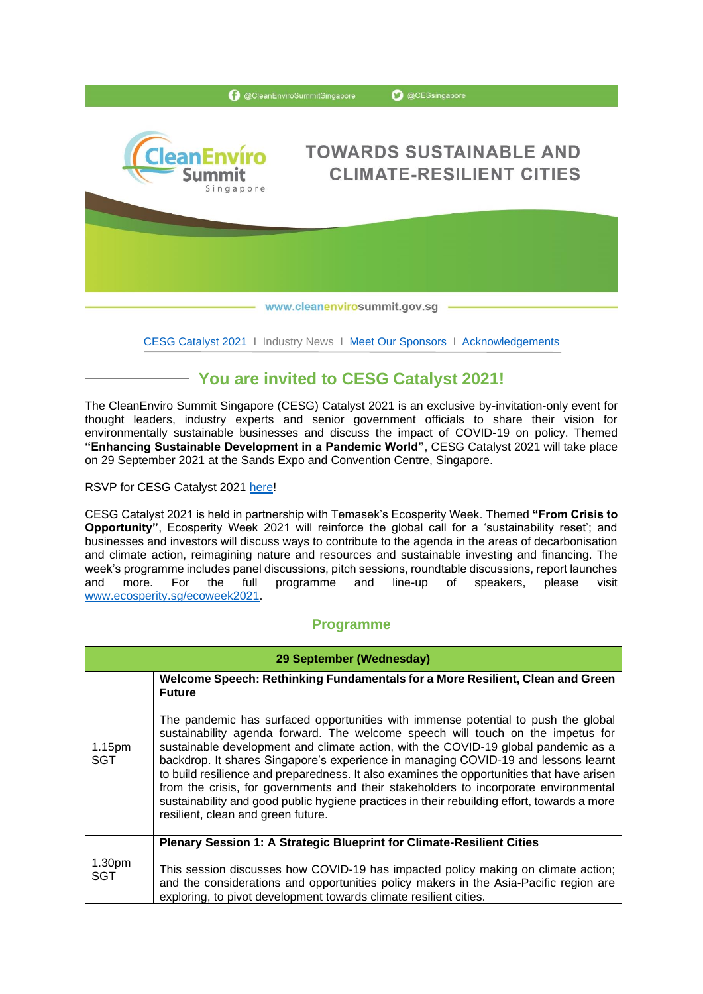

[CESG Catalyst 2021](https://www.cleanenvirosummit.gov.sg/cesg-catalyst-2021/about-cesg-catalyst-2021) | Industry News | [Meet Our Sponsors](https://www.dowa-eco.co.jp/en/) | [Acknowledgements](https://www.cleanenvirosummit.gov.sg/cesg-catalyst-2021/sponsors)

# **You are invited to CESG Catalyst 2021!**

The CleanEnviro Summit Singapore (CESG) Catalyst 2021 is an exclusive by-invitation-only event for thought leaders, industry experts and senior government officials to share their vision for environmentally sustainable businesses and discuss the impact of COVID-19 on policy. Themed **"Enhancing Sustainable Development in a Pandemic World"**, CESG Catalyst 2021 will take place on 29 September 2021 at the Sands Expo and Convention Centre, Singapore.

RSVP for CESG Catalyst 2021 [here!](Registration%20for%20CESG%20Catalyst%202021%20(virtual)%20(form.gov.sg))

CESG Catalyst 2021 is held in partnership with Temasek's Ecosperity Week. Themed **"From Crisis to Opportunity"**, Ecosperity Week 2021 will reinforce the global call for a 'sustainability reset'; and businesses and investors will discuss ways to contribute to the agenda in the areas of decarbonisation and climate action, reimagining nature and resources and sustainable investing and financing. The week's programme includes panel discussions, pitch sessions, roundtable discussions, report launches and more. For the full programme and line-up of speakers, please visit [www.ecosperity.sg/ecoweek2021.](http://www.ecosperity.sg/ecoweek2021)

### **Programme**

| 29 September (Wednesday) |                                                                                                                                                                                                                                                                                                                                                                                                                                                                                                                                                                                                                                                                            |  |
|--------------------------|----------------------------------------------------------------------------------------------------------------------------------------------------------------------------------------------------------------------------------------------------------------------------------------------------------------------------------------------------------------------------------------------------------------------------------------------------------------------------------------------------------------------------------------------------------------------------------------------------------------------------------------------------------------------------|--|
|                          | Welcome Speech: Rethinking Fundamentals for a More Resilient, Clean and Green<br><b>Future</b>                                                                                                                                                                                                                                                                                                                                                                                                                                                                                                                                                                             |  |
| 1.15pm<br>SGT            | The pandemic has surfaced opportunities with immense potential to push the global<br>sustainability agenda forward. The welcome speech will touch on the impetus for<br>sustainable development and climate action, with the COVID-19 global pandemic as a<br>backdrop. It shares Singapore's experience in managing COVID-19 and lessons learnt<br>to build resilience and preparedness. It also examines the opportunities that have arisen<br>from the crisis, for governments and their stakeholders to incorporate environmental<br>sustainability and good public hygiene practices in their rebuilding effort, towards a more<br>resilient, clean and green future. |  |
|                          | Plenary Session 1: A Strategic Blueprint for Climate-Resilient Cities                                                                                                                                                                                                                                                                                                                                                                                                                                                                                                                                                                                                      |  |
| 1.30pm<br>SGT            | This session discusses how COVID-19 has impacted policy making on climate action;<br>and the considerations and opportunities policy makers in the Asia-Pacific region are<br>exploring, to pivot development towards climate resilient cities.                                                                                                                                                                                                                                                                                                                                                                                                                            |  |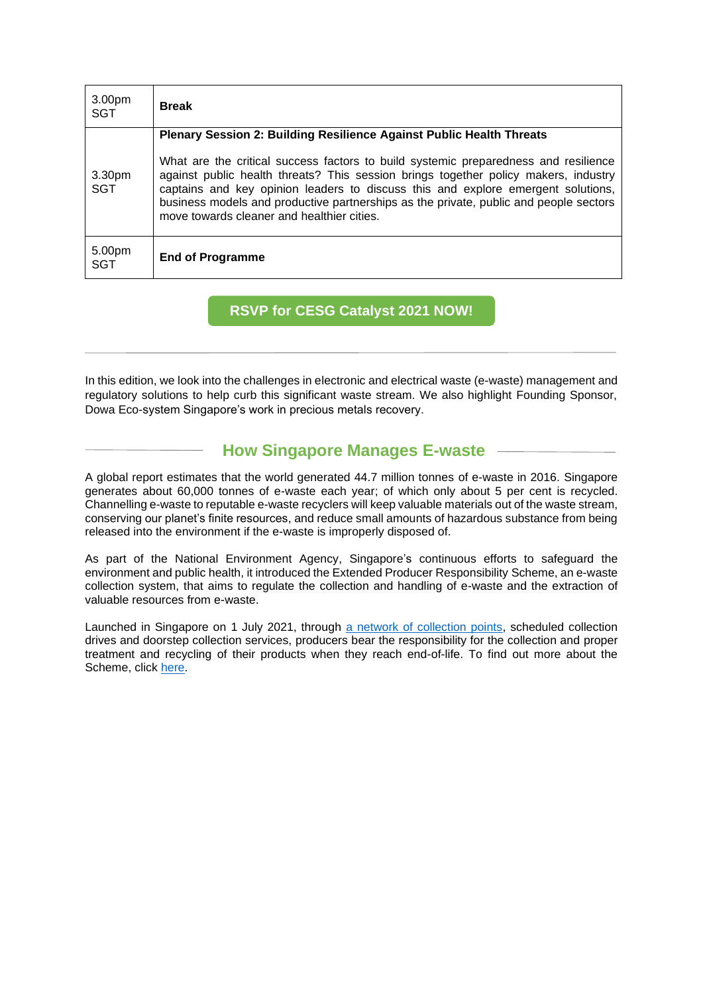| 3.00pm<br><b>SGT</b> | <b>Break</b>                                                                                                                                                                                                                                                                                                                                                                                          |
|----------------------|-------------------------------------------------------------------------------------------------------------------------------------------------------------------------------------------------------------------------------------------------------------------------------------------------------------------------------------------------------------------------------------------------------|
|                      | <b>Plenary Session 2: Building Resilience Against Public Health Threats</b>                                                                                                                                                                                                                                                                                                                           |
| 3.30pm<br><b>SGT</b> | What are the critical success factors to build systemic preparedness and resilience<br>against public health threats? This session brings together policy makers, industry<br>captains and key opinion leaders to discuss this and explore emergent solutions,<br>business models and productive partnerships as the private, public and people sectors<br>move towards cleaner and healthier cities. |
| 5.00pm<br><b>SGT</b> | <b>End of Programme</b>                                                                                                                                                                                                                                                                                                                                                                               |

**RSVP for CESG Catalyst 2021 NOW!**

In this edition, we look into the challenges in electronic and electrical waste (e-waste) management and regulatory solutions to help curb this significant waste stream. We also highlight Founding Sponsor, Dowa Eco-system Singapore's work in precious metals recovery.

# **How Singapore Manages E-waste**

A global report estimates that the world generated 44.7 million tonnes of e-waste in 2016. Singapore generates about 60,000 tonnes of e-waste each year; of which only about 5 per cent is recycled. Channelling e-waste to reputable e-waste recyclers will keep valuable materials out of the waste stream, conserving our planet's finite resources, and reduce small amounts of hazardous substance from being released into the environment if the e-waste is improperly disposed of.

As part of the National Environment Agency, Singapore's continuous efforts to safeguard the environment and public health, it introduced the Extended Producer Responsibility Scheme, an e-waste collection system, that aims to regulate the collection and handling of e-waste and the extraction of valuable resources from e-waste.

Launched in Singapore on 1 July 2021, through [a network of collection points,](https://www.nea.gov.sg/media/news/news/index/nea-and-alba-to-soft-launch-e-waste-recycling-bins-ahead-of-start-of-e-waste-management-scheme) scheduled collection drives and doorstep collection services, producers bear the responsibility for the collection and proper treatment and recycling of their products when they reach end-of-life. To find out more about the Scheme, click [here.](https://www.nea.gov.sg/our-services/waste-management/3r-programmes-and-resources/e-waste-management/extended-producer-responsibility-(epr)-system-for-e-waste-management-system)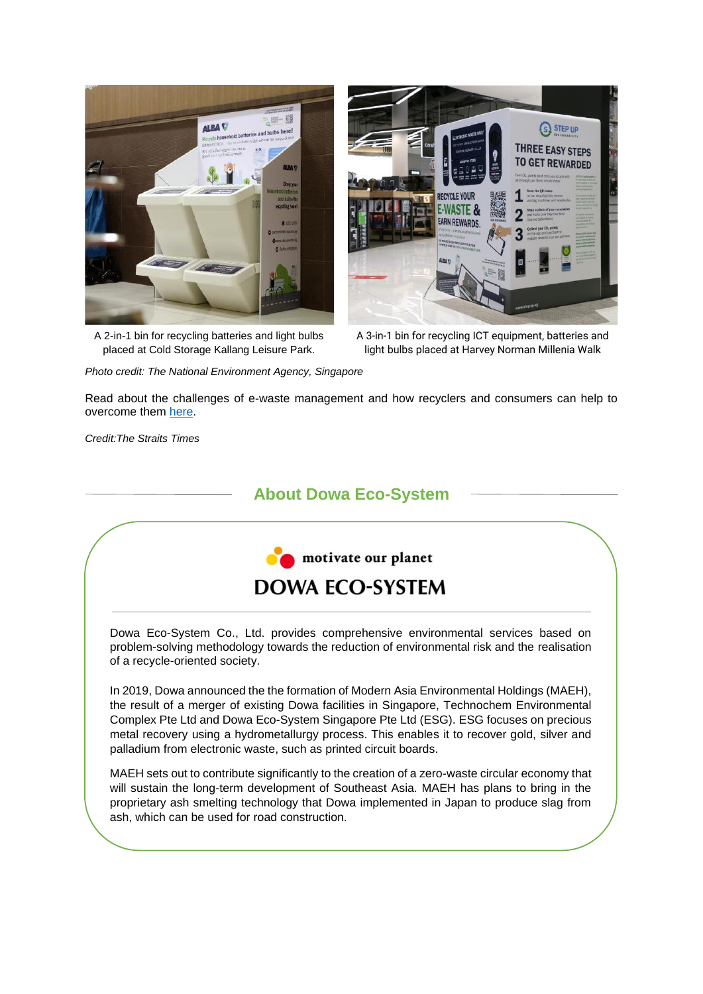

A 2-in-1 bin for recycling batteries and light bulbs placed at Cold Storage Kallang Leisure Park.



A 3-in-1 bin for recycling ICT equipment, batteries and light bulbs placed at Harvey Norman Millenia Walk

*Photo credit: The National Environment Agency, Singapore*

Read about the challenges of e-waste management and how recyclers and consumers can help to overcome them [here.](https://www.straitstimes.com/singapore/environment/singapores-mountain-of-e-waste)

*Credit:The Straits Times*

## **About Dowa Eco-System**



Dowa Eco-System Co., Ltd. provides comprehensive environmental services based on problem-solving methodology towards the reduction of environmental risk and the realisation of a recycle-oriented society.

In 2019, Dowa announced the the formation of Modern Asia Environmental Holdings (MAEH), the result of a merger of existing Dowa facilities in Singapore, Technochem Environmental Complex Pte Ltd and Dowa Eco-System Singapore Pte Ltd (ESG). ESG focuses on precious metal recovery using a hydrometallurgy process. This enables it to recover gold, silver and palladium from electronic waste, such as printed circuit boards.

MAEH sets out to contribute significantly to the creation of a zero-waste circular economy that will sustain the long-term development of Southeast Asia. MAEH has plans to bring in the proprietary ash smelting technology that Dowa implemented in Japan to produce slag from ash, which can be used for road construction.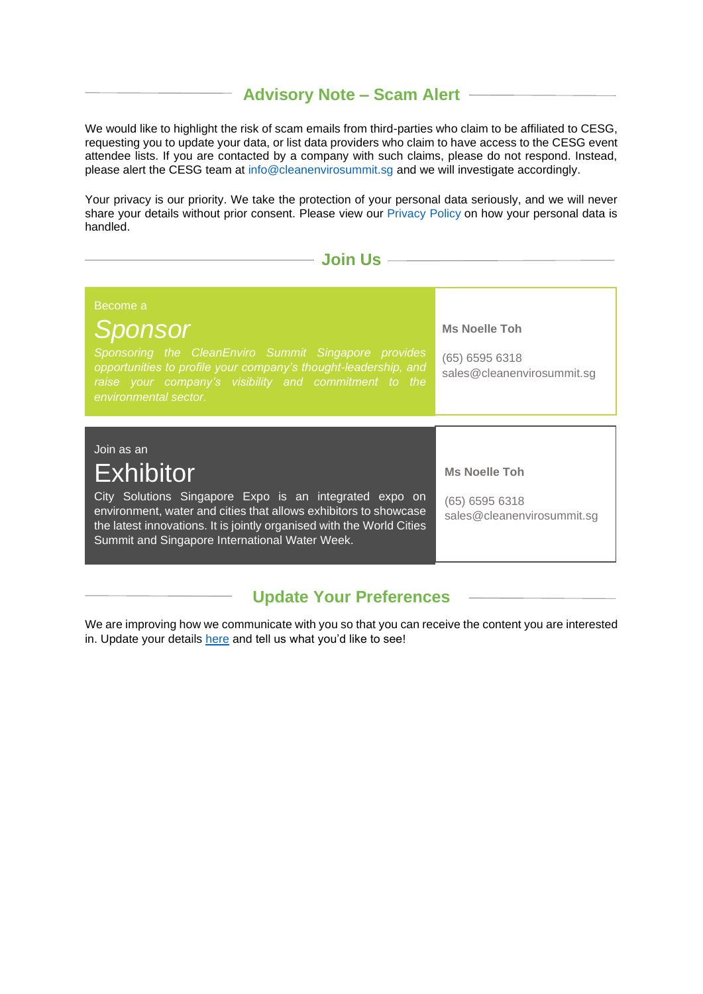#### **Advisory Note – Scam Alert**

We would like to highlight the risk of scam emails from third-parties who claim to be affiliated to CESG. requesting you to update your data, or list data providers who claim to have access to the CESG event attendee lists. If you are contacted by a company with such claims, please do not respond. Instead, please alert the CESG team at [info@cleanenvirosummit.sg](mailto:info@cleanenvirosummit.sg) and we will investigate accordingly.

Your privacy is our priority. We take the protection of your personal data seriously, and we will never share your details without prior consent. Please view our [Privacy](https://www.cleanenvirosummit.gov.sg/privacy-statement) Policy on how your personal data is handled.

#### **Join Us**

#### Become a *Sponsor Sponsoring the CleanEnviro Summit Singapore provides opportunities to profile your company's thought-leadership, and environmental sector.* **Ms Noelle Toh** (65) 6595 6318 [sales@cleanenvirosummit.sg](mailto:sales@cleanenvirosummit.sg) Join as an Exhibitor City Solutions Singapore Expo is an integrated expo on environment, water and cities that allows exhibitors to showcase the latest innovations. It is jointly organised with the World Cities Summit and Singapore International Water Week. **Ms Noelle Toh** (65) 6595 6318 [sales@cleanenvirosummit.sg](mailto:sales@cleanenvirosummit.sg)

### **Update Your Preferences**

We are improving how we communicate with you so that you can receive the content you are interested in. Update your details [here](CESG%20Subscribers) and tell us what you'd like to see!